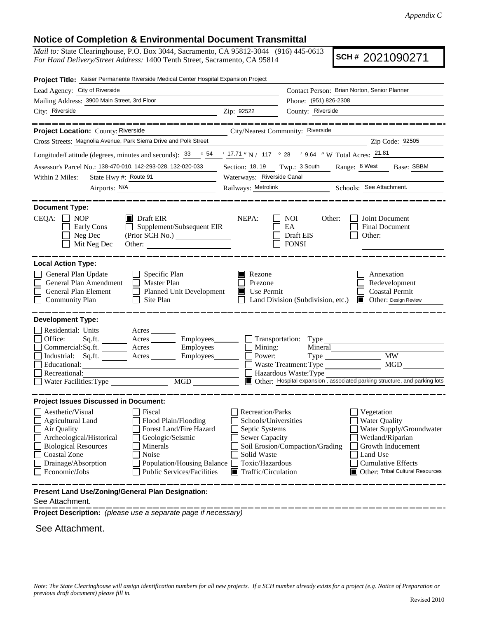## **Notice of Completion & Environmental Document Transmittal**

*Mail to:* State Clearinghouse, P.O. Box 3044, Sacramento, CA 95812-3044 (916) 445-0613 *For Hand Delivery/Street Address:* 1400 Tenth Street, Sacramento, CA 95814

**SCH #** 2021090271

| Project Title: Kaiser Permanente Riverside Medical Center Hospital Expansion Project                                                              |                                                                                         |  |  |
|---------------------------------------------------------------------------------------------------------------------------------------------------|-----------------------------------------------------------------------------------------|--|--|
| Lead Agency: City of Riverside                                                                                                                    | Contact Person: Brian Norton, Senior Planner                                            |  |  |
| Mailing Address: 3900 Main Street, 3rd Floor                                                                                                      | Phone: (951) 826-2308                                                                   |  |  |
| City: Riverside<br><u> 1989 - Johann Barn, fransk politik (d. 1989)</u>                                                                           | County: Riverside<br>Zip: 92522                                                         |  |  |
| __________                                                                                                                                        | _______________                                                                         |  |  |
| Project Location: County: Riverside                                                                                                               | City/Nearest Community: Riverside                                                       |  |  |
| Cross Streets: Magnolia Avenue, Park Sierra Drive and Polk Street                                                                                 | Zip Code: 92505                                                                         |  |  |
| Longitude/Latitude (degrees, minutes and seconds): $\frac{33}{964}$ $\frac{54}{17.71}$ N / 117 ° 28 ' 9.64 " W Total Acres: $\frac{21.81}{17.71}$ |                                                                                         |  |  |
| Assessor's Parcel No.: 138-470-010, 142-293-028, 132-020-033                                                                                      | Section: 18, 19 Twp.: 3 South Range: 6 West Base: SBBM                                  |  |  |
| State Hwy #: Route 91<br>Within 2 Miles:                                                                                                          | Waterways: Riverside Canal                                                              |  |  |
| Airports: N/A<br><u> 1980 - John Stein, mars and de Branch and de Branch and de Branch and de Branch and de Branch and de Branch an</u>           | Railways: Metrolink<br>Schools: See Attachment.                                         |  |  |
|                                                                                                                                                   |                                                                                         |  |  |
| <b>Document Type:</b><br>$\blacksquare$ Draft EIR<br><b>NOP</b>                                                                                   | NEPA:<br><b>NOI</b><br>Other:<br>Joint Document                                         |  |  |
| $CEQA: \Box$<br>Supplement/Subsequent EIR<br>Early Cons                                                                                           | EA<br>Final Document                                                                    |  |  |
| (Prior SCH No.) ________________<br>Neg Dec                                                                                                       | Draft EIS<br>Other:                                                                     |  |  |
| Mit Neg Dec<br>Other:                                                                                                                             | <b>FONSI</b>                                                                            |  |  |
|                                                                                                                                                   |                                                                                         |  |  |
| <b>Local Action Type:</b>                                                                                                                         |                                                                                         |  |  |
| General Plan Update<br>$\Box$ Specific Plan                                                                                                       | Annexation<br>Rezone                                                                    |  |  |
| General Plan Amendment<br>Master Plan<br>General Plan Element                                                                                     | Prezone<br>Redevelopment<br><b>Coastal Permit</b><br>П<br>Use Permit                    |  |  |
| Planned Unit Development<br><b>Community Plan</b><br>$\Box$ Site Plan                                                                             | Land Division (Subdivision, etc.)<br><b>Other: Design Review</b>                        |  |  |
|                                                                                                                                                   |                                                                                         |  |  |
| <b>Development Type:</b>                                                                                                                          |                                                                                         |  |  |
| Residential: Units _______<br>Acres                                                                                                               |                                                                                         |  |  |
| Office:<br>Acres __________ Employees________                                                                                                     | $\Box$ Transportation: Type                                                             |  |  |
| Commercial:Sq.ft.<br>Acres _________ Employees_______                                                                                             | $\Box$ Mining:<br>Mineral                                                               |  |  |
| Industrial: Sq.ft.<br>Employees________<br>Acres<br>Educational:                                                                                  | <b>MW</b><br>Power:<br>Type<br>MGD                                                      |  |  |
| Recreational:                                                                                                                                     | Waste Treatment: Type<br>Hazardous Waste: Type                                          |  |  |
| Water Facilities: Type<br>$\overline{MGD}$                                                                                                        | Other: Hospital expansion , associated parking structure, and parking lots              |  |  |
|                                                                                                                                                   |                                                                                         |  |  |
| <b>Project Issues Discussed in Document:</b>                                                                                                      |                                                                                         |  |  |
| Aesthetic/Visual<br>Fiscal                                                                                                                        | <b>Recreation/Parks</b><br>Vegetation                                                   |  |  |
| Agricultural Land<br>Flood Plain/Flooding                                                                                                         | Schools/Universities<br><b>Water Quality</b>                                            |  |  |
| Air Quality<br>Forest Land/Fire Hazard<br>Archeological/Historical<br>Geologic/Seismic                                                            | Septic Systems<br>Water Supply/Groundwater<br><b>Sewer Capacity</b><br>Wetland/Riparian |  |  |
| <b>Biological Resources</b><br>Minerals                                                                                                           | Soil Erosion/Compaction/Grading<br>Growth Inducement                                    |  |  |
| Coastal Zone<br>Noise                                                                                                                             | Land Use<br>Solid Waste                                                                 |  |  |
| Drainage/Absorption<br>Population/Housing Balance                                                                                                 | Toxic/Hazardous<br><b>Cumulative Effects</b>                                            |  |  |
| Economic/Jobs<br><b>Public Services/Facilities</b>                                                                                                | Other: Tribal Cultural Resources<br>$\blacksquare$ Traffic/Circulation                  |  |  |
| Present Land Use/Zoning/General Plan Designation:                                                                                                 |                                                                                         |  |  |

See Attachment.

**Project Description:** *(please use a separate page if necessary)*

See Attachment.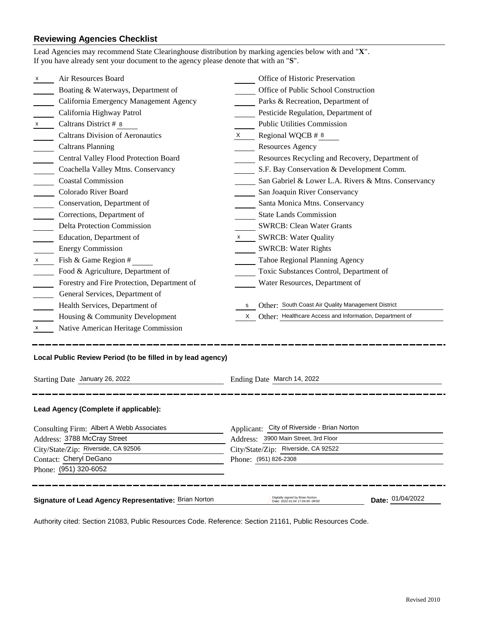# **Reviewing Agencies Checklist**

| Lead Agencies may recommend State Clearinghouse distribution by marking agencies below with and "X".<br>If you have already sent your document to the agency please denote that with an "S". |                           |                                                                       |                  |  |
|----------------------------------------------------------------------------------------------------------------------------------------------------------------------------------------------|---------------------------|-----------------------------------------------------------------------|------------------|--|
| Air Resources Board<br>x                                                                                                                                                                     |                           | Office of Historic Preservation                                       |                  |  |
| Boating & Waterways, Department of                                                                                                                                                           |                           | Office of Public School Construction                                  |                  |  |
| California Emergency Management Agency                                                                                                                                                       |                           | Parks & Recreation, Department of                                     |                  |  |
| California Highway Patrol                                                                                                                                                                    |                           | Pesticide Regulation, Department of                                   |                  |  |
| Caltrans District # 8                                                                                                                                                                        |                           | <b>Public Utilities Commission</b>                                    |                  |  |
| <b>Caltrans Division of Aeronautics</b>                                                                                                                                                      | X                         | Regional WQCB # 8                                                     |                  |  |
| <b>Caltrans Planning</b>                                                                                                                                                                     |                           | <b>Resources Agency</b>                                               |                  |  |
| Central Valley Flood Protection Board                                                                                                                                                        |                           | Resources Recycling and Recovery, Department of                       |                  |  |
| Coachella Valley Mtns. Conservancy                                                                                                                                                           |                           | S.F. Bay Conservation & Development Comm.                             |                  |  |
| <b>Coastal Commission</b>                                                                                                                                                                    |                           | San Gabriel & Lower L.A. Rivers & Mtns. Conservancy                   |                  |  |
| Colorado River Board                                                                                                                                                                         |                           | San Joaquin River Conservancy                                         |                  |  |
| Conservation, Department of                                                                                                                                                                  |                           | Santa Monica Mtns. Conservancy                                        |                  |  |
| Corrections, Department of                                                                                                                                                                   |                           | <b>State Lands Commission</b>                                         |                  |  |
| Delta Protection Commission                                                                                                                                                                  |                           | <b>SWRCB: Clean Water Grants</b>                                      |                  |  |
| Education, Department of                                                                                                                                                                     | $\boldsymbol{\mathsf{X}}$ | <b>SWRCB: Water Quality</b>                                           |                  |  |
| <b>Energy Commission</b>                                                                                                                                                                     |                           | <b>SWRCB: Water Rights</b>                                            |                  |  |
| Fish & Game Region #                                                                                                                                                                         |                           | Tahoe Regional Planning Agency                                        |                  |  |
| Food & Agriculture, Department of                                                                                                                                                            |                           | Toxic Substances Control, Department of                               |                  |  |
| Forestry and Fire Protection, Department of                                                                                                                                                  |                           | Water Resources, Department of                                        |                  |  |
| General Services, Department of                                                                                                                                                              |                           |                                                                       |                  |  |
| Health Services, Department of                                                                                                                                                               | s                         | Other: South Coast Air Quality Management District                    |                  |  |
| Housing & Community Development                                                                                                                                                              |                           | Other: Healthcare Access and Information, Department of               |                  |  |
| Native American Heritage Commission<br>X                                                                                                                                                     |                           |                                                                       |                  |  |
| Local Public Review Period (to be filled in by lead agency)<br>Starting Date January 26, 2022<br>Ending Date March 14, 2022                                                                  |                           |                                                                       |                  |  |
| Lead Agency (Complete if applicable):                                                                                                                                                        |                           |                                                                       |                  |  |
| Consulting Firm: Albert A Webb Associates                                                                                                                                                    |                           | Applicant: City of Riverside - Brian Norton                           |                  |  |
| Address: 3788 McCray Street                                                                                                                                                                  |                           | Address: 3900 Main Street, 3rd Floor                                  |                  |  |
| City/State/Zip: Riverside, CA 92506                                                                                                                                                          |                           | City/State/Zip: Riverside, CA 92522                                   |                  |  |
| Contact: Cheryl DeGano                                                                                                                                                                       |                           | Phone: (951) 826-2308                                                 |                  |  |
| Phone: (951) 320-6052                                                                                                                                                                        |                           |                                                                       |                  |  |
| Signature of Lead Agency Representative: Brian Norton                                                                                                                                        |                           | Digitally signed by Brian Norton<br>Date: 2022.01.04 17:04:00 -08'00' | Date: 01/04/2022 |  |

Authority cited: Section 21083, Public Resources Code. Reference: Section 21161, Public Resources Code.